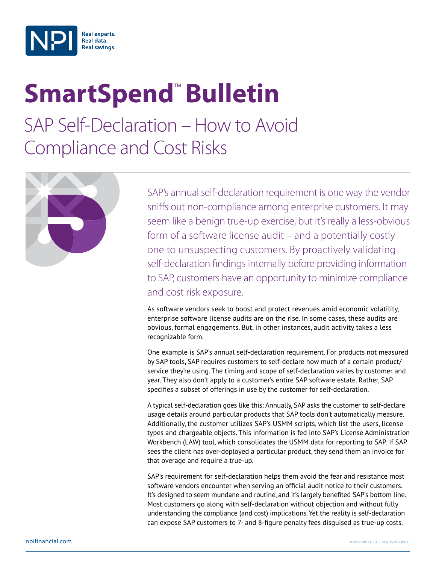

## **SmartSpend<sup>™</sup> Bulletin**

SAP Self-Declaration – How to Avoid Compliance and Cost Risks



SAP's annual self-declaration requirement is one way the vendor sniffs out non-compliance among enterprise customers. It may seem like a benign true-up exercise, but it's really a less-obvious form of a software license audit – and a potentially costly one to unsuspecting customers. By proactively validating self-declaration findings internally before providing information to SAP, customers have an opportunity to minimize compliance and cost risk exposure.

As software vendors seek to boost and protect revenues amid economic volatility, enterprise software license audits are on the rise. In some cases, these audits are obvious, formal engagements. But, in other instances, audit activity takes a less recognizable form.

One example is SAP's annual self-declaration requirement. For products not measured by SAP tools, SAP requires customers to self-declare how much of a certain product/ service they're using. The timing and scope of self-declaration varies by customer and year. They also don't apply to a customer's entire SAP software estate. Rather, SAP specifies a subset of offerings in use by the customer for self-declaration.

A typical self-declaration goes like this: Annually, SAP asks the customer to self-declare usage details around particular products that SAP tools don't automatically measure. Additionally, the customer utilizes SAP's USMM scripts, which list the users, license types and chargeable objects. This information is fed into SAP's License Administration Workbench (LAW) tool, which consolidates the USMM data for reporting to SAP. If SAP sees the client has over-deployed a particular product, they send them an invoice for that overage and require a true-up.

SAP's requirement for self-declaration helps them avoid the fear and resistance most software vendors encounter when serving an official audit notice to their customers. It's designed to seem mundane and routine, and it's largely benefited SAP's bottom line. Most customers go along with self-declaration without objection and without fully understanding the compliance (and cost) implications. Yet the reality is self-declaration can expose SAP customers to 7- and 8-figure penalty fees disguised as true-up costs.